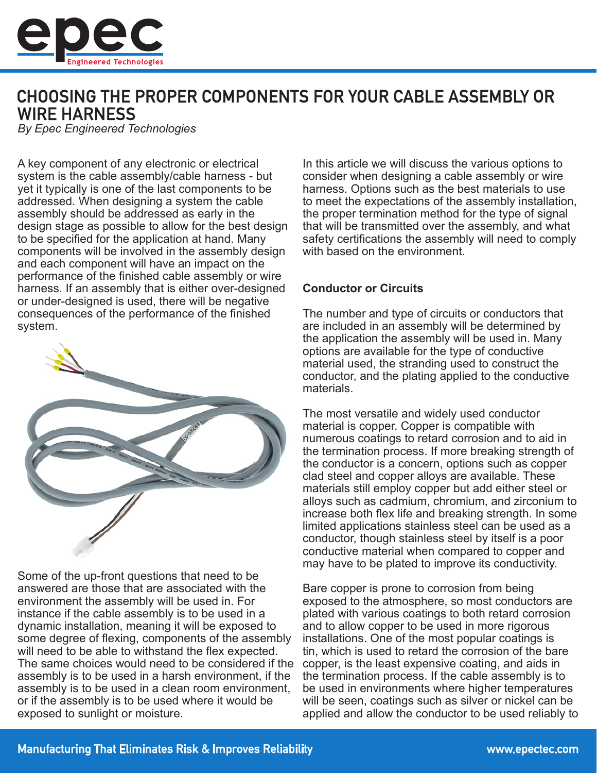

# **CHOOSING THE PROPER COMPONENTS FOR YOUR CABLE ASSEMBLY OR WIRE HARNESS**

*By Epec Engineered Technologies*

A key component of any electronic or electrical system is the cable assembly/cable harness - but yet it typically is one of the last components to be addressed. When designing a system the cable assembly should be addressed as early in the design stage as possible to allow for the best design to be specified for the application at hand. Many components will be involved in the assembly design and each component will have an impact on the performance of the finished cable assembly or wire harness. If an assembly that is either over-designed or under-designed is used, there will be negative consequences of the performance of the finished system.



Some of the up-front questions that need to be answered are those that are associated with the environment the assembly will be used in. For instance if the cable assembly is to be used in a dynamic installation, meaning it will be exposed to some degree of flexing, components of the assembly will need to be able to withstand the flex expected. The same choices would need to be considered if the assembly is to be used in a harsh environment, if the assembly is to be used in a clean room environment, or if the assembly is to be used where it would be exposed to sunlight or moisture.

In this article we will discuss the various options to consider when designing a cable assembly or wire harness. Options such as the best materials to use to meet the expectations of the assembly installation, the proper termination method for the type of signal that will be transmitted over the assembly, and what safety certifications the assembly will need to comply with based on the environment.

## **Conductor or Circuits**

The number and type of circuits or conductors that are included in an assembly will be determined by the application the assembly will be used in. Many options are available for the type of conductive material used, the stranding used to construct the conductor, and the plating applied to the conductive materials.

The most versatile and widely used conductor material is copper. Copper is compatible with numerous coatings to retard corrosion and to aid in the termination process. If more breaking strength of the conductor is a concern, options such as copper clad steel and copper alloys are available. These materials still employ copper but add either steel or alloys such as cadmium, chromium, and zirconium to increase both flex life and breaking strength. In some limited applications stainless steel can be used as a conductor, though stainless steel by itself is a poor conductive material when compared to copper and may have to be plated to improve its conductivity.

Bare copper is prone to corrosion from being exposed to the atmosphere, so most conductors are plated with various coatings to both retard corrosion and to allow copper to be used in more rigorous installations. One of the most popular coatings is tin, which is used to retard the corrosion of the bare copper, is the least expensive coating, and aids in the termination process. If the cable assembly is to be used in environments where higher temperatures will be seen, coatings such as silver or nickel can be applied and allow the conductor to be used reliably to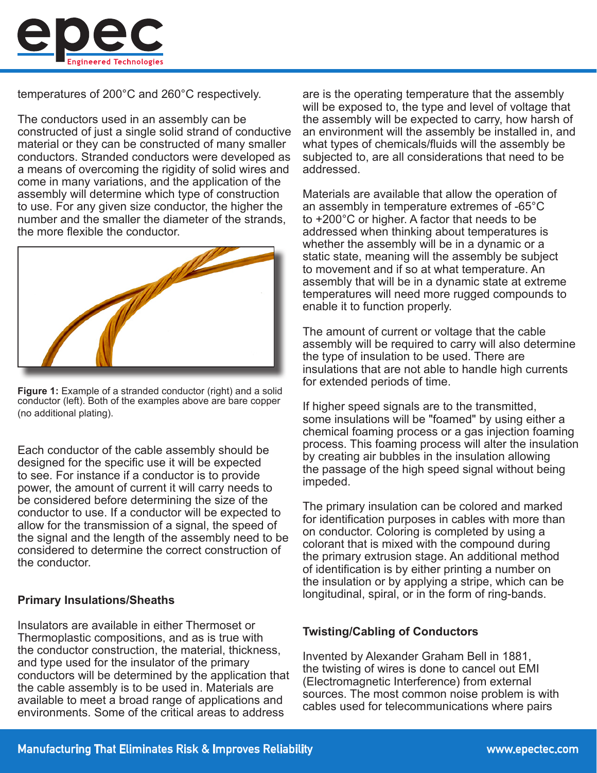

temperatures of 200°C and 260°C respectively.

The conductors used in an assembly can be constructed of just a single solid strand of conductive material or they can be constructed of many smaller conductors. Stranded conductors were developed as a means of overcoming the rigidity of solid wires and come in many variations, and the application of the assembly will determine which type of construction to use. For any given size conductor, the higher the number and the smaller the diameter of the strands, the more flexible the conductor.



**Figure 1:** Example of a stranded conductor (right) and a solid conductor (left). Both of the examples above are bare copper (no additional plating).

Each conductor of the cable assembly should be designed for the specific use it will be expected to see. For instance if a conductor is to provide power, the amount of current it will carry needs to be considered before determining the size of the conductor to use. If a conductor will be expected to allow for the transmission of a signal, the speed of the signal and the length of the assembly need to be considered to determine the correct construction of the conductor.

### **Primary Insulations/Sheaths**

Insulators are available in either Thermoset or Thermoplastic compositions, and as is true with the conductor construction, the material, thickness, and type used for the insulator of the primary conductors will be determined by the application that the cable assembly is to be used in. Materials are available to meet a broad range of applications and environments. Some of the critical areas to address

are is the operating temperature that the assembly will be exposed to, the type and level of voltage that the assembly will be expected to carry, how harsh of an environment will the assembly be installed in, and what types of chemicals/fluids will the assembly be subjected to, are all considerations that need to be addressed.

Materials are available that allow the operation of an assembly in temperature extremes of -65°C to +200°C or higher. A factor that needs to be addressed when thinking about temperatures is whether the assembly will be in a dynamic or a static state, meaning will the assembly be subject to movement and if so at what temperature. An assembly that will be in a dynamic state at extreme temperatures will need more rugged compounds to enable it to function properly.

The amount of current or voltage that the cable assembly will be required to carry will also determine the type of insulation to be used. There are insulations that are not able to handle high currents for extended periods of time.

If higher speed signals are to the transmitted, some insulations will be "foamed" by using either a chemical foaming process or a gas injection foaming process. This foaming process will alter the insulation by creating air bubbles in the insulation allowing the passage of the high speed signal without being impeded.

The primary insulation can be colored and marked for identification purposes in cables with more than on conductor. Coloring is completed by using a colorant that is mixed with the compound during the primary extrusion stage. An additional method of identification is by either printing a number on the insulation or by applying a stripe, which can be longitudinal, spiral, or in the form of ring-bands.

### **Twisting/Cabling of Conductors**

Invented by Alexander Graham Bell in 1881, the twisting of wires is done to cancel out EMI (Electromagnetic Interference) from external sources. The most common noise problem is with cables used for telecommunications where pairs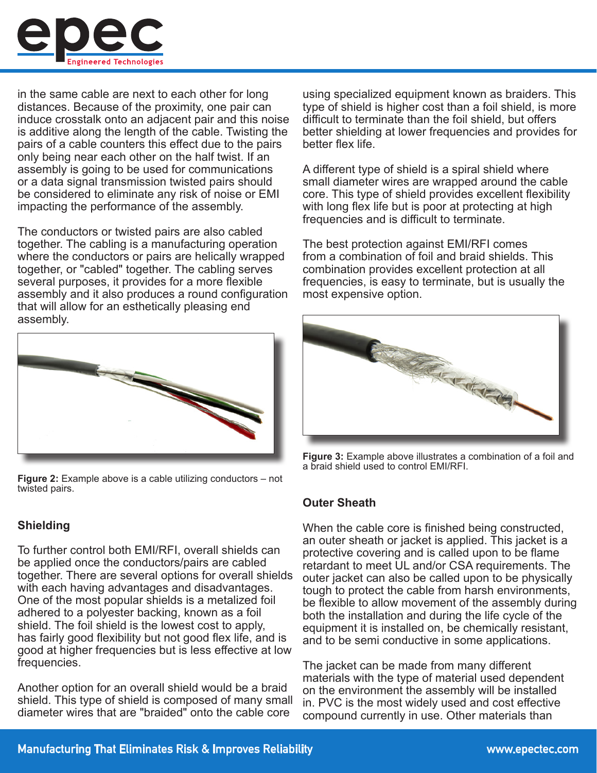

in the same cable are next to each other for long distances. Because of the proximity, one pair can induce crosstalk onto an adjacent pair and this noise is additive along the length of the cable. Twisting the pairs of a cable counters this effect due to the pairs only being near each other on the half twist. If an assembly is going to be used for communications or a data signal transmission twisted pairs should be considered to eliminate any risk of noise or EMI impacting the performance of the assembly.

The conductors or twisted pairs are also cabled together. The cabling is a manufacturing operation where the conductors or pairs are helically wrapped together, or "cabled" together. The cabling serves several purposes, it provides for a more flexible assembly and it also produces a round configuration that will allow for an esthetically pleasing end assembly.



**Figure 2:** Example above is a cable utilizing conductors – not twisted pairs.

## **Shielding**

To further control both EMI/RFI, overall shields can be applied once the conductors/pairs are cabled together. There are several options for overall shields with each having advantages and disadvantages. One of the most popular shields is a metalized foil adhered to a polyester backing, known as a foil shield. The foil shield is the lowest cost to apply, has fairly good flexibility but not good flex life, and is good at higher frequencies but is less effective at low frequencies.

Another option for an overall shield would be a braid shield. This type of shield is composed of many small diameter wires that are "braided" onto the cable core

using specialized equipment known as braiders. This type of shield is higher cost than a foil shield, is more difficult to terminate than the foil shield, but offers better shielding at lower frequencies and provides for better flex life.

A different type of shield is a spiral shield where small diameter wires are wrapped around the cable core. This type of shield provides excellent flexibility with long flex life but is poor at protecting at high frequencies and is difficult to terminate.

The best protection against EMI/RFI comes from a combination of foil and braid shields. This combination provides excellent protection at all frequencies, is easy to terminate, but is usually the most expensive option.



**Figure 3:** Example above illustrates a combination of a foil and a braid shield used to control EMI/RFI.

### **Outer Sheath**

When the cable core is finished being constructed, an outer sheath or jacket is applied. This jacket is a protective covering and is called upon to be flame retardant to meet UL and/or CSA requirements. The outer jacket can also be called upon to be physically tough to protect the cable from harsh environments, be flexible to allow movement of the assembly during both the installation and during the life cycle of the equipment it is installed on, be chemically resistant, and to be semi conductive in some applications.

The jacket can be made from many different materials with the type of material used dependent on the environment the assembly will be installed in. PVC is the most widely used and cost effective compound currently in use. Other materials than